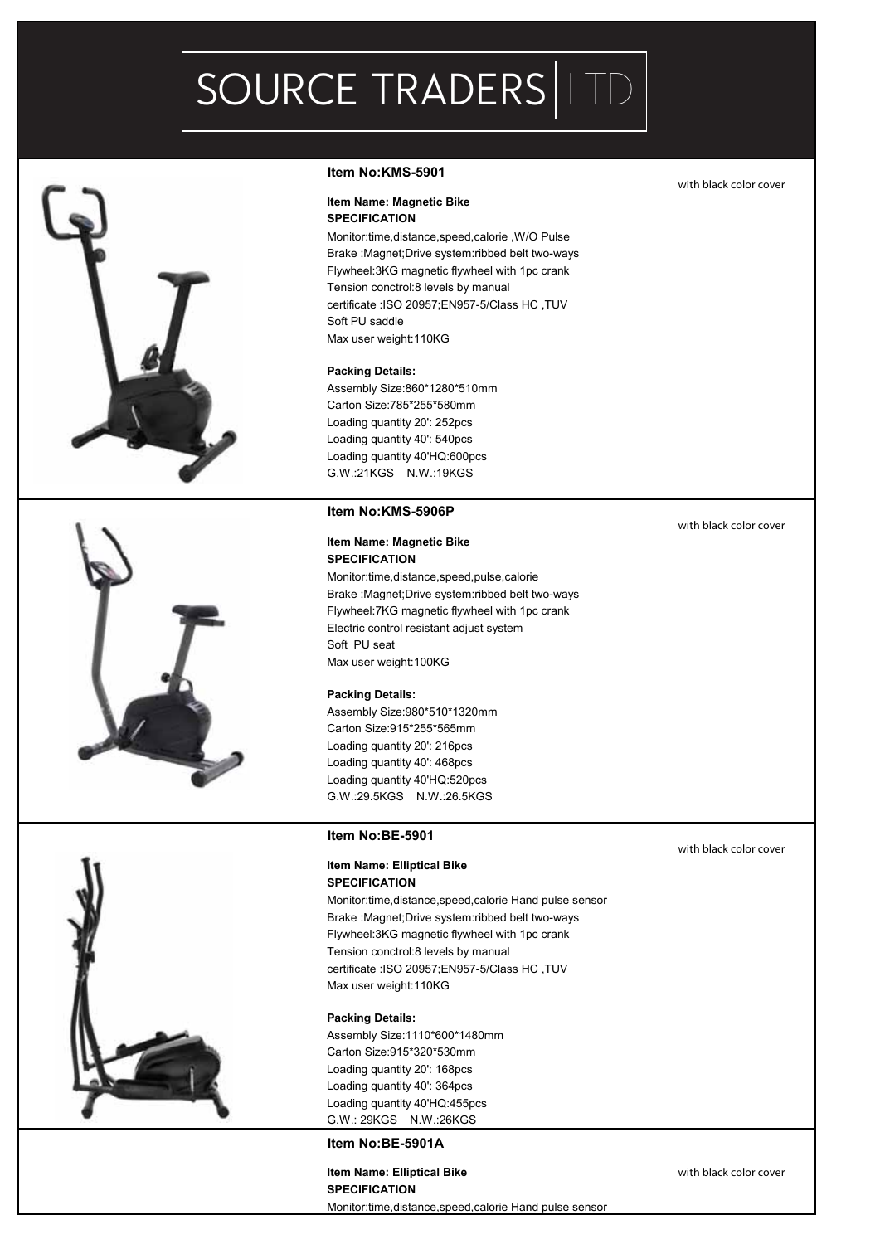# SOURCE TRADERS LTD



#### **Item No:KMS-5901**

# **Item Name: Magnetic Bike**

**SPECIFICATION** Monitor:time,distance,speed,calorie ,W/O Pulse Brake :Magnet;Drive system:ribbed belt two-ways Flywheel:3KG magnetic flywheel with 1pc crank Tension conctrol:8 levels by manual certificate :ISO 20957;EN957-5/Class HC ,TUV Soft PU saddle Max user weight:110KG

#### **Packing Details:**

Assembly Size:860\*1280\*510mm Carton Size:785\*255\*580mm Loading quantity 20': 252pcs Loading quantity 40': 540pcs Loading quantity 40'HQ:600pcs G.W.:21KGS N.W.:19KGS

#### **Item No:KMS-5906P**

#### **Item Name: Magnetic Bike SPECIFICATION**

Monitor:time,distance,speed,pulse,calorie Brake :Magnet;Drive system:ribbed belt two-ways Flywheel:7KG magnetic flywheel with 1pc crank Electric control resistant adjust system Soft PU seat Max user weight:100KG

#### **Packing Details:**

Assembly Size:980\*510\*1320mm Carton Size:915\*255\*565mm Loading quantity 20': 216pcs Loading quantity 40': 468pcs Loading quantity 40'HQ:520pcs G.W.:29.5KGS N.W.:26.5KGS

#### **Item No:BE-5901**

#### **Item Name: Elliptical Bike SPECIFICATION**

Monitor:time,distance,speed,calorie Hand pulse sensor Brake :Magnet;Drive system:ribbed belt two-ways Flywheel:3KG magnetic flywheel with 1pc crank Tension conctrol:8 levels by manual certificate :ISO 20957;EN957-5/Class HC ,TUV Max user weight:110KG

#### **Packing Details:**

Assembly Size:1110\*600\*1480mm Carton Size:915\*320\*530mm Loading quantity 20': 168pcs Loading quantity 40': 364pcs Loading quantity 40'HQ:455pcs G.W.: 29KGS N.W.:26KGS

# **Item No:BE-5901A**

### **Item Name: Elliptical Bike With black color cover SPECIFICATION** Monitor:time,distance,speed,calorie Hand pulse sensor

with black color cover

with black color cover

with black color cover

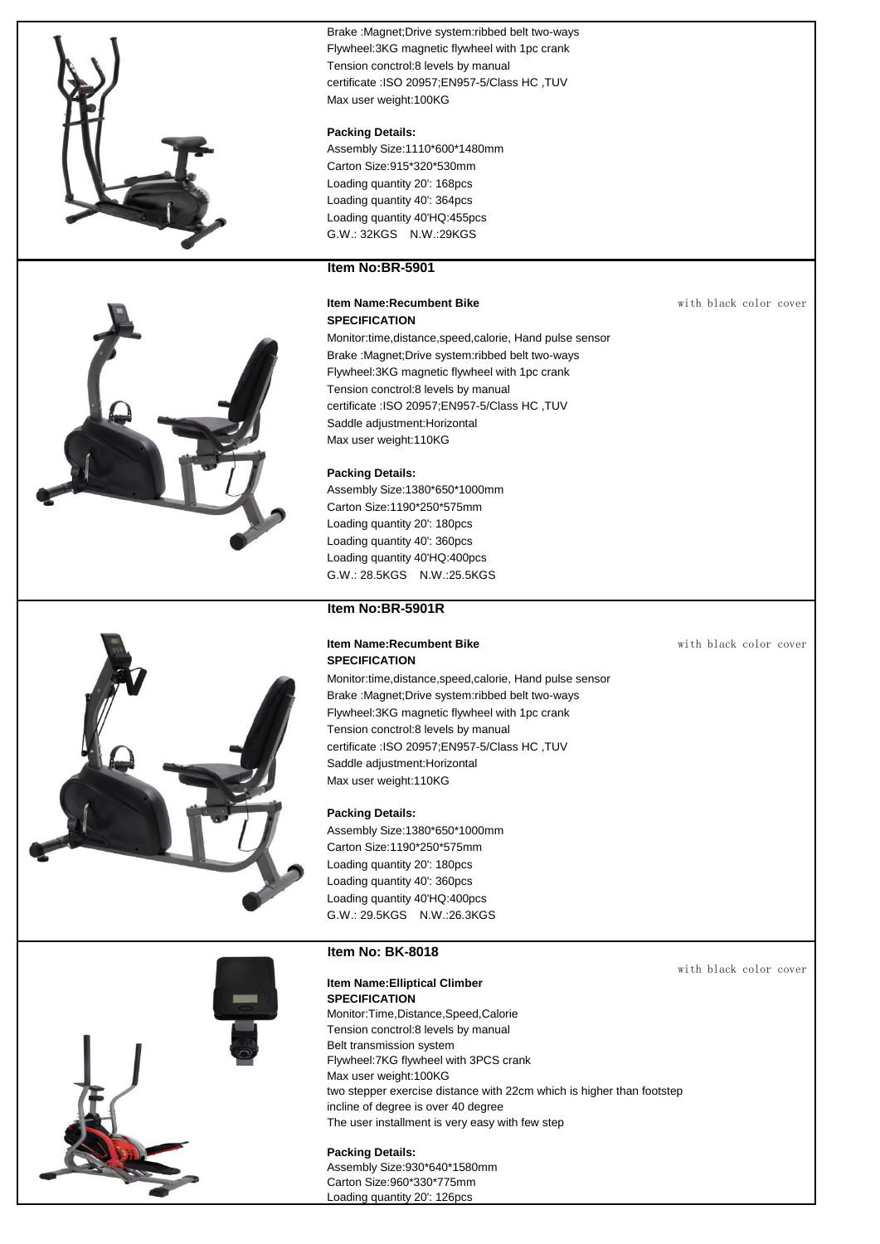



Brake : Magnet; Drive system: ribbed belt two-ways Flywheel:3KG magnetic flywheel with 1pc crank Tension conctrol:8 levels by manual certificate :ISO 20957;EN957-5/Class HC ,TUV Max user weight:100KG

#### **Packing Details:**

Assembly Size:1110\*600\*1480mm Carton Size:915\*320\*530mm Loading quantity 20': 168pcs Loading quantity 40': 364pcs Loading quantity 40'HQ:455pcs G.W.: 32KGS N.W.:29KGS

# **Item No:BR-5901**

#### **Item Name:Recumbent Bike** with black color cover **SPECIFICATION**

Monitor:time,distance,speed,calorie, Hand pulse sensor Brake :Magnet;Drive system:ribbed belt two-ways Flywheel:3KG magnetic flywheel with 1pc crank Tension conctrol:8 levels by manual certificate :ISO 20957;EN957-5/Class HC ,TUV Saddle adjustment:Horizontal Max user weight:110KG

#### **Packing Details:**

Assembly Size:1380\*650\*1000mm Carton Size:1190\*250\*575mm Loading quantity 20': 180pcs Loading quantity 40': 360pcs Loading quantity 40'HQ:400pcs G.W.: 28.5KGS N.W.:25.5KGS

# **Item No:BR-5901R**

#### **Item Name:Recumbent Bike** with black color cover **SPECIFICATION**

Monitor:time,distance,speed,calorie, Hand pulse sensor Brake :Magnet;Drive system:ribbed belt two-ways Flywheel:3KG magnetic flywheel with 1pc crank Tension conctrol:8 levels by manual certificate :ISO 20957;EN957-5/Class HC ,TUV Saddle adjustment:Horizontal Max user weight:110KG

#### **Packing Details:**

Assembly Size:1380\*650\*1000mm Carton Size:1190\*250\*575mm Loading quantity 20': 180pcs Loading quantity 40': 360pcs Loading quantity 40'HQ:400pcs G.W.: 29.5KGS N.W.:26.3KGS

#### **Item No: BK-8018**

#### **Item Name:Elliptical Climber SPECIFICATION**

Monitor:Time,Distance,Speed,Calorie Tension conctrol:8 levels by manual Belt transmission system Flywheel:7KG flywheel with 3PCS crank Max user weight:100KG two stepper exercise distance with 22cm which is higher than footstep incline of degree is over 40 degree The user installment is very easy with few step

#### **Packing Details:**

Assembly Size:930\*640\*1580mm Carton Size:960\*330\*775mm Loading quantity 20': 126pcs

with black color cover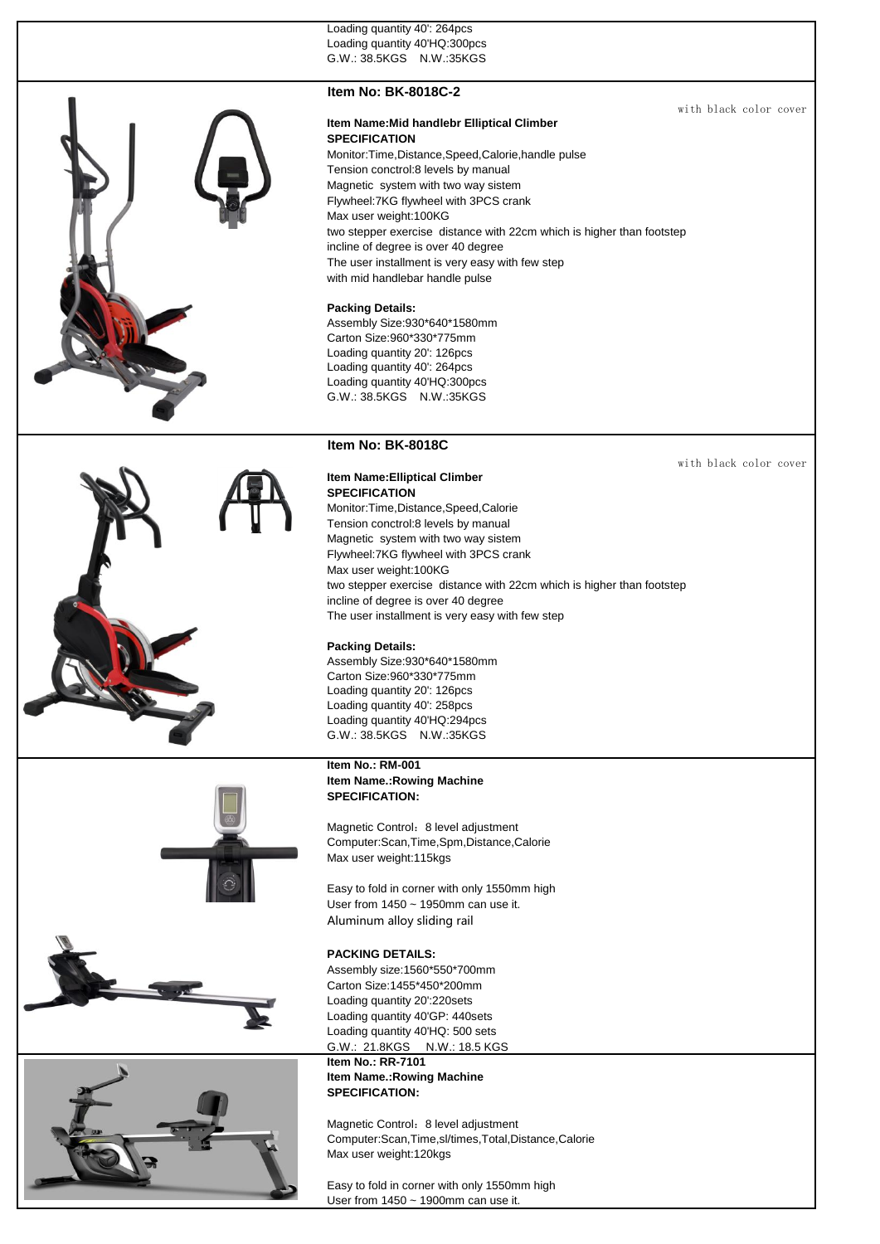Loading quantity 40': 264pcs Loading quantity 40'HQ:300pcs G.W.: 38.5KGS N.W.:35KGS

### **Item No: BK-8018C-2**

**Item Name:Mid handlebr Elliptical Climber SPECIFICATION** Monitor:Time,Distance,Speed,Calorie,handle pulse Tension conctrol:8 levels by manual Magnetic system with two way sistem Flywheel:7KG flywheel with 3PCS crank Max user weight:100KG two stepper exercise distance with 22cm which is higher than footstep incline of degree is over 40 degree The user installment is very easy with few step with mid handlebar handle pulse

### **Packing Details:**

Assembly Size:930\*640\*1580mm Carton Size:960\*330\*775mm Loading quantity 20': 126pcs Loading quantity 40': 264pcs Loading quantity 40'HQ:300pcs G.W.: 38.5KGS N.W.:35KGS

# **Item No: BK-8018C**

**SPECIFICATION**

**Item Name:Elliptical Climber** 

Monitor:Time,Distance,Speed,Calorie Tension conctrol:8 levels by manual Magnetic system with two way sistem Flywheel:7KG flywheel with 3PCS crank with black color cover

with black color cover



# Max user weight:100KG two stepper exercise distance with 22cm which is higher than footstep incline of degree is over 40 degree The user installment is very easy with few step **Packing Details:**  Assembly Size:930\*640\*1580mm

Carton Size:960\*330\*775mm Loading quantity 20': 126pcs Loading quantity 40': 258pcs Loading quantity 40'HQ:294pcs G.W.: 38.5KGS N.W.:35KGS

#### **Item No.: RM-001 Item Name.:Rowing Machine SPECIFICATION:**

Magnetic Control: 8 level adjustment Computer:Scan,Time,Spm,Distance,Calorie Max user weight:115kgs

Easy to fold in corner with only 1550mm high User from 1450 ~ 1950mm can use it. Aluminum alloy sliding rail

#### **PACKING DETAILS:**

Assembly size:1560\*550\*700mm Carton Size:1455\*450\*200mm Loading quantity 20':220sets Loading quantity 40'GP: 440sets Loading quantity 40'HQ: 500 sets G.W.: 21.8KGS N.W.: 18.5 KGS

#### **Item No.: RR-7101 Item Name.:Rowing Machine SPECIFICATION:**

Magnetic Control: 8 level adjustment Computer:Scan,Time,sl/times,Total,Distance,Calorie Max user weight:120kgs

Easy to fold in corner with only 1550mm high User from 1450 ~ 1900mm can use it.



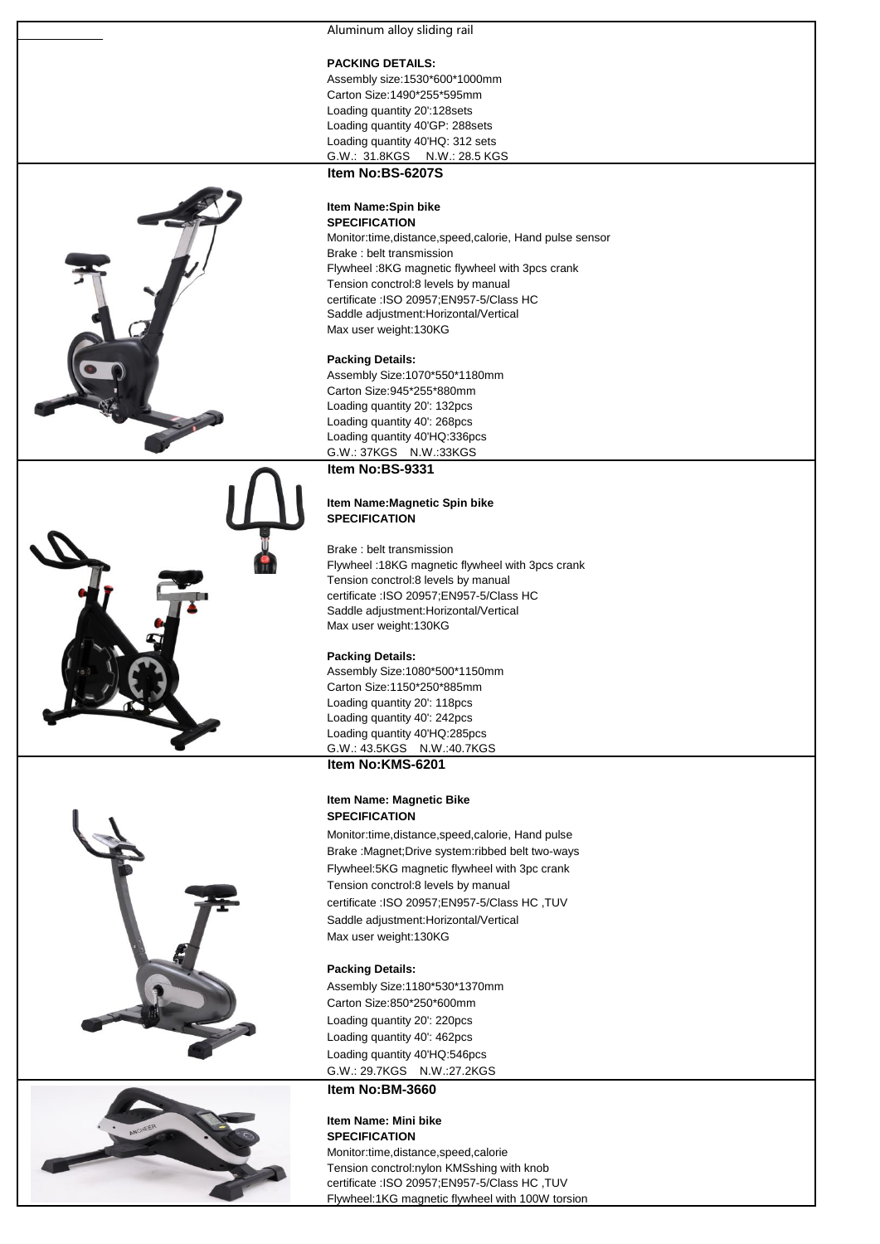Aluminum alloy sliding rail

#### **PACKING DETAILS:**

Assembly size:1530\*600\*1000mm Carton Size:1490\*255\*595mm Loading quantity 20':128sets Loading quantity 40'GP: 288sets Loading quantity 40'HQ: 312 sets G.W.: 31.8KGS N.W.: 28.5 KGS



#### **Item No:BS-6207S**

#### **Item Name:Spin bike SPECIFICATION**

Monitor:time,distance,speed,calorie, Hand pulse sensor Brake : belt transmission Flywheel :8KG magnetic flywheel with 3pcs crank Tension conctrol:8 levels by manual certificate :ISO 20957;EN957-5/Class HC Saddle adjustment:Horizontal/Vertical Max user weight:130KG

#### **Packing Details:**

Assembly Size:1070\*550\*1180mm Carton Size:945\*255\*880mm Loading quantity 20': 132pcs Loading quantity 40': 268pcs Loading quantity 40'HQ:336pcs G.W.: 37KGS N.W.:33KGS

#### **Item No:BS-9331**

#### **Item Name:Magnetic Spin bike SPECIFICATION**

#### Brake : belt transmission

Flywheel :18KG magnetic flywheel with 3pcs crank Tension conctrol:8 levels by manual certificate :ISO 20957;EN957-5/Class HC Saddle adjustment:Horizontal/Vertical Max user weight:130KG

#### **Packing Details:**

Assembly Size:1080\*500\*1150mm Carton Size:1150\*250\*885mm Loading quantity 20': 118pcs Loading quantity 40': 242pcs Loading quantity 40'HQ:285pcs G.W.: 43.5KGS N.W.:40.7KGS

# **Item No:KMS-6201**

#### **Item Name: Magnetic Bike SPECIFICATION**

Monitor:time,distance,speed,calorie, Hand pulse Brake :Magnet;Drive system:ribbed belt two-ways Flywheel:5KG magnetic flywheel with 3pc crank Tension conctrol:8 levels by manual certificate :ISO 20957;EN957-5/Class HC ,TUV Saddle adjustment:Horizontal/Vertical Max user weight:130KG

#### **Packing Details:**

Assembly Size:1180\*530\*1370mm Carton Size:850\*250\*600mm Loading quantity 20': 220pcs Loading quantity 40': 462pcs Loading quantity 40'HQ:546pcs G.W.: 29.7KGS N.W.:27.2KGS

# **Item No:BM-3660**

### **Item Name: Mini bike SPECIFICATION**

Monitor:time,distance,speed,calorie Tension conctrol:nylon KMSshing with knob certificate :ISO 20957;EN957-5/Class HC ,TUV Flywheel:1KG magnetic flywheel with 100W torsion



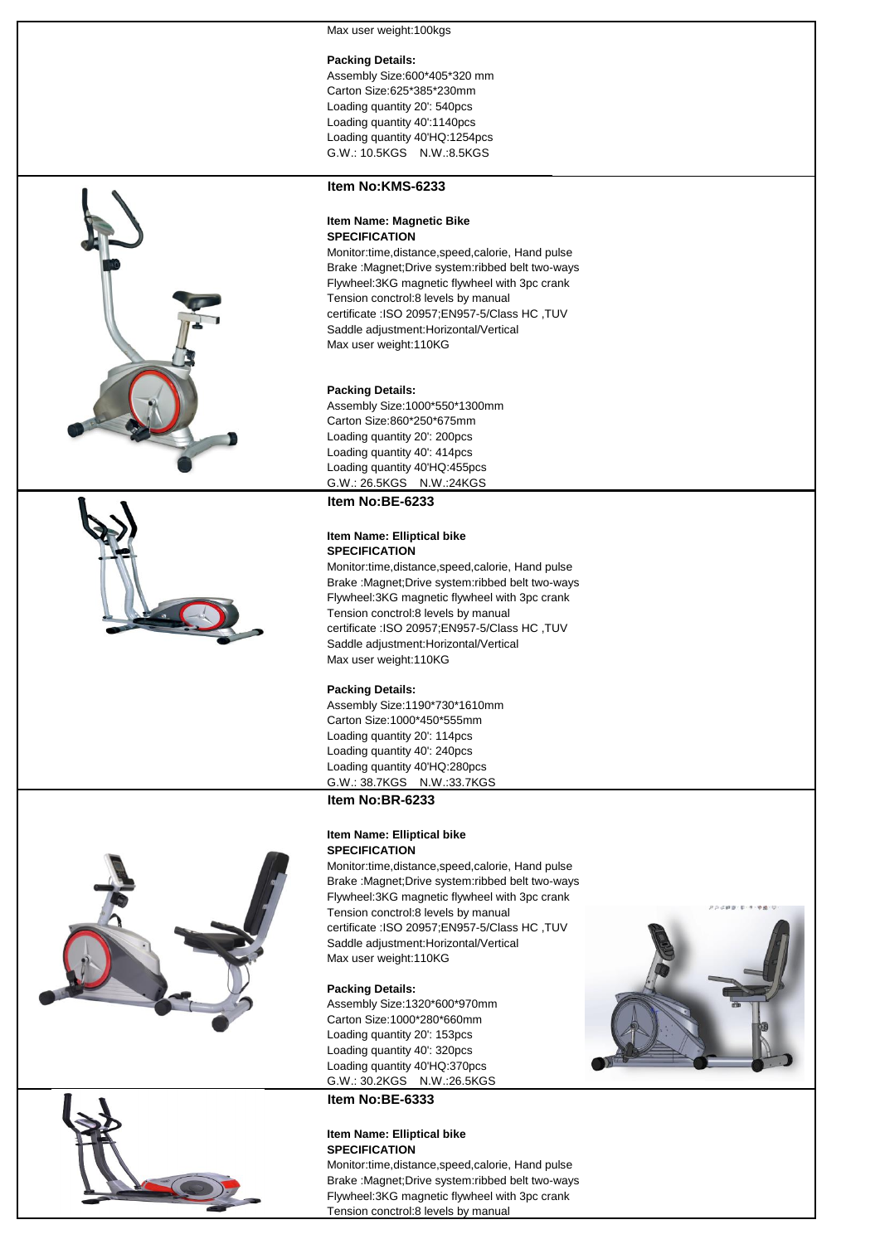Max user weight: 100kgs

#### **Packing Details:**

Assembly Size:600\*405\*320 mm Carton Size:625\*385\*230mm Loading quantity 20': 540pcs Loading quantity 40':1140pcs Loading quantity 40'HQ:1254pcs G.W.: 10.5KGS N.W.:8.5KGS





#### **Item No:KMS-6233**

#### **Item Name: Magnetic Bike SPECIFICATION**

Monitor:time,distance,speed,calorie, Hand pulse Brake :Magnet;Drive system:ribbed belt two-ways Flywheel:3KG magnetic flywheel with 3pc crank Tension conctrol:8 levels by manual certificate :ISO 20957;EN957-5/Class HC ,TUV Saddle adjustment:Horizontal/Vertical Max user weight:110KG

#### **Packing Details:**

Assembly Size:1000\*550\*1300mm Carton Size:860\*250\*675mm Loading quantity 20': 200pcs Loading quantity 40': 414pcs Loading quantity 40'HQ:455pcs G.W.: 26.5KGS N.W.:24KGS

#### **Item No:BE-6233**

#### **Item Name: Elliptical bike SPECIFICATION**

Monitor:time,distance,speed,calorie, Hand pulse Brake :Magnet;Drive system:ribbed belt two-ways Flywheel:3KG magnetic flywheel with 3pc crank Tension conctrol:8 levels by manual certificate :ISO 20957;EN957-5/Class HC ,TUV Saddle adjustment:Horizontal/Vertical Max user weight:110KG

#### **Packing Details:**

Assembly Size:1190\*730\*1610mm Carton Size:1000\*450\*555mm Loading quantity 20': 114pcs Loading quantity 40': 240pcs Loading quantity 40'HQ:280pcs G.W.: 38.7KGS N.W.:33.7KGS

### **Item No:BR-6233**

#### **Item Name: Elliptical bike SPECIFICATION**

Monitor:time,distance,speed,calorie, Hand pulse Brake :Magnet;Drive system:ribbed belt two-ways Flywheel:3KG magnetic flywheel with 3pc crank Tension conctrol:8 levels by manual certificate :ISO 20957;EN957-5/Class HC ,TUV Saddle adjustment:Horizontal/Vertical Max user weight:110KG

#### **Packing Details:**

Assembly Size:1320\*600\*970mm Carton Size:1000\*280\*660mm Loading quantity 20': 153pcs Loading quantity 40': 320pcs Loading quantity 40'HQ:370pcs G.W.: 30.2KGS N.W.:26.5KGS

## **Item No:BE-6333**

#### **Item Name: Elliptical bike SPECIFICATION**

Monitor:time,distance,speed,calorie, Hand pulse Brake :Magnet;Drive system:ribbed belt two-ways Flywheel:3KG magnetic flywheel with 3pc crank Tension conctrol:8 levels by manual



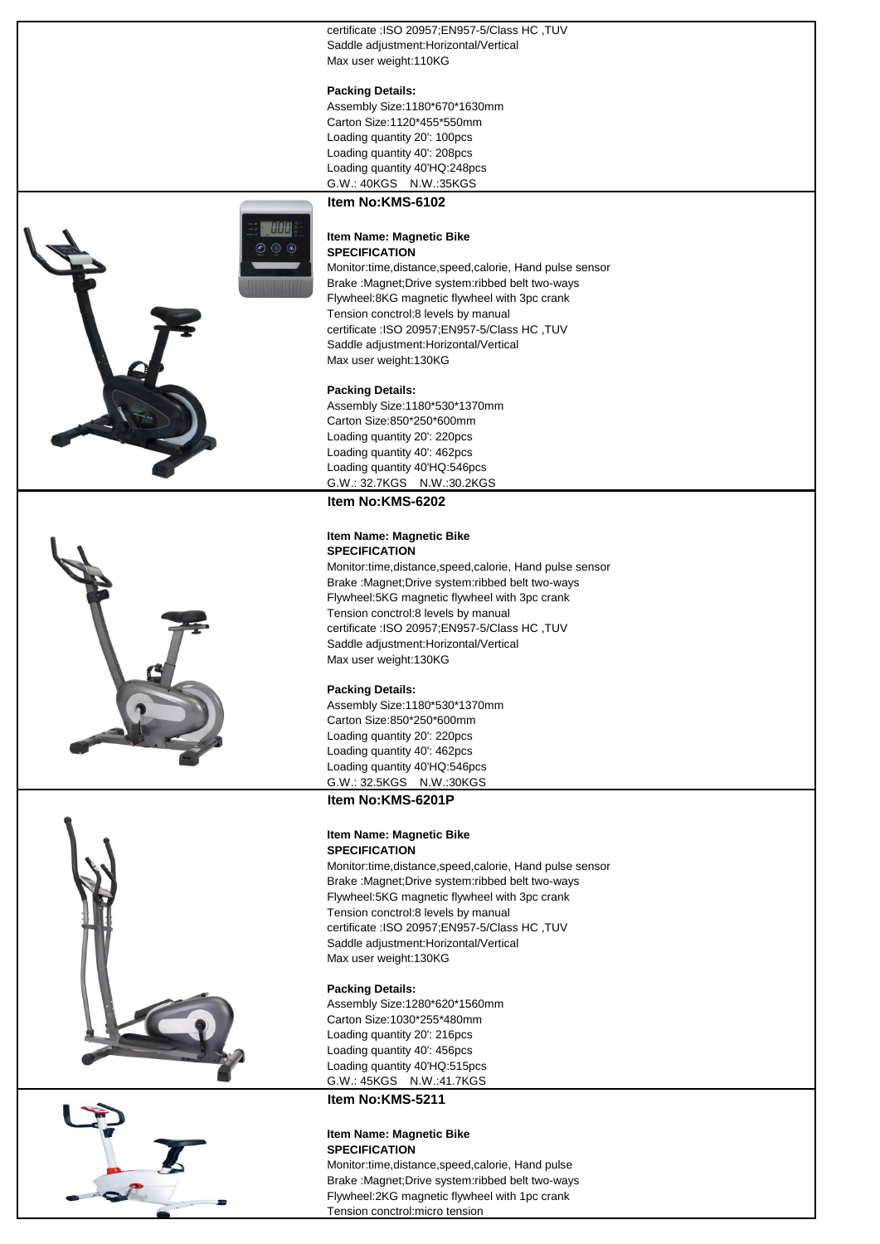certificate :ISO 20957;EN957-5/Class HC .TUV Saddle adjustment:Horizontal/Vertical Max user weight:110KG

#### **Packing Details:**

Assembly Size:1180\*670\*1630mm Carton Size:1120\*455\*550mm Loading quantity 20': 100pcs Loading quantity 40': 208pcs Loading quantity 40'HQ:248pcs G.W.: 40KGS N.W.:35KGS

#### **Item No:KMS-6102**

**HALLA** 

#### **Item Name: Magnetic Bike SPECIFICATION**

Monitor:time,distance,speed,calorie, Hand pulse sensor Brake :Magnet;Drive system:ribbed belt two-ways Flywheel:8KG magnetic flywheel with 3pc crank Tension conctrol:8 levels by manual certificate :ISO 20957;EN957-5/Class HC ,TUV Saddle adjustment:Horizontal/Vertical Max user weight:130KG

#### **Packing Details:**

Assembly Size:1180\*530\*1370mm Carton Size:850\*250\*600mm Loading quantity 20': 220pcs Loading quantity 40': 462pcs Loading quantity 40'HQ:546pcs G.W.: 32.7KGS N.W.:30.2KGS

#### **Item No:KMS-6202**

#### **Item Name: Magnetic Bike SPECIFICATION**

Monitor:time,distance,speed,calorie, Hand pulse sensor Brake :Magnet;Drive system:ribbed belt two-ways Flywheel:5KG magnetic flywheel with 3pc crank Tension conctrol:8 levels by manual certificate :ISO 20957;EN957-5/Class HC ,TUV Saddle adjustment:Horizontal/Vertical Max user weight:130KG

#### **Packing Details:**

Assembly Size:1180\*530\*1370mm Carton Size:850\*250\*600mm Loading quantity 20': 220pcs Loading quantity 40': 462pcs Loading quantity 40'HQ:546pcs G.W.: 32.5KGS N.W.:30KGS

### **Item No:KMS-6201P**

#### **Item Name: Magnetic Bike SPECIFICATION**

Monitor:time,distance,speed,calorie, Hand pulse sensor Brake :Magnet;Drive system:ribbed belt two-ways Flywheel:5KG magnetic flywheel with 3pc crank Tension conctrol:8 levels by manual certificate :ISO 20957;EN957-5/Class HC ,TUV Saddle adjustment:Horizontal/Vertical Max user weight:130KG

#### **Packing Details:**

Assembly Size:1280\*620\*1560mm Carton Size:1030\*255\*480mm Loading quantity 20': 216pcs Loading quantity 40': 456pcs Loading quantity 40'HQ:515pcs G.W.: 45KGS N.W.:41.7KGS

#### **Item No:KMS-5211**

#### **Item Name: Magnetic Bike SPECIFICATION**

Monitor:time,distance,speed,calorie, Hand pulse Brake :Magnet;Drive system:ribbed belt two-ways Flywheel:2KG magnetic flywheel with 1pc crank Tension conctrol:micro tension



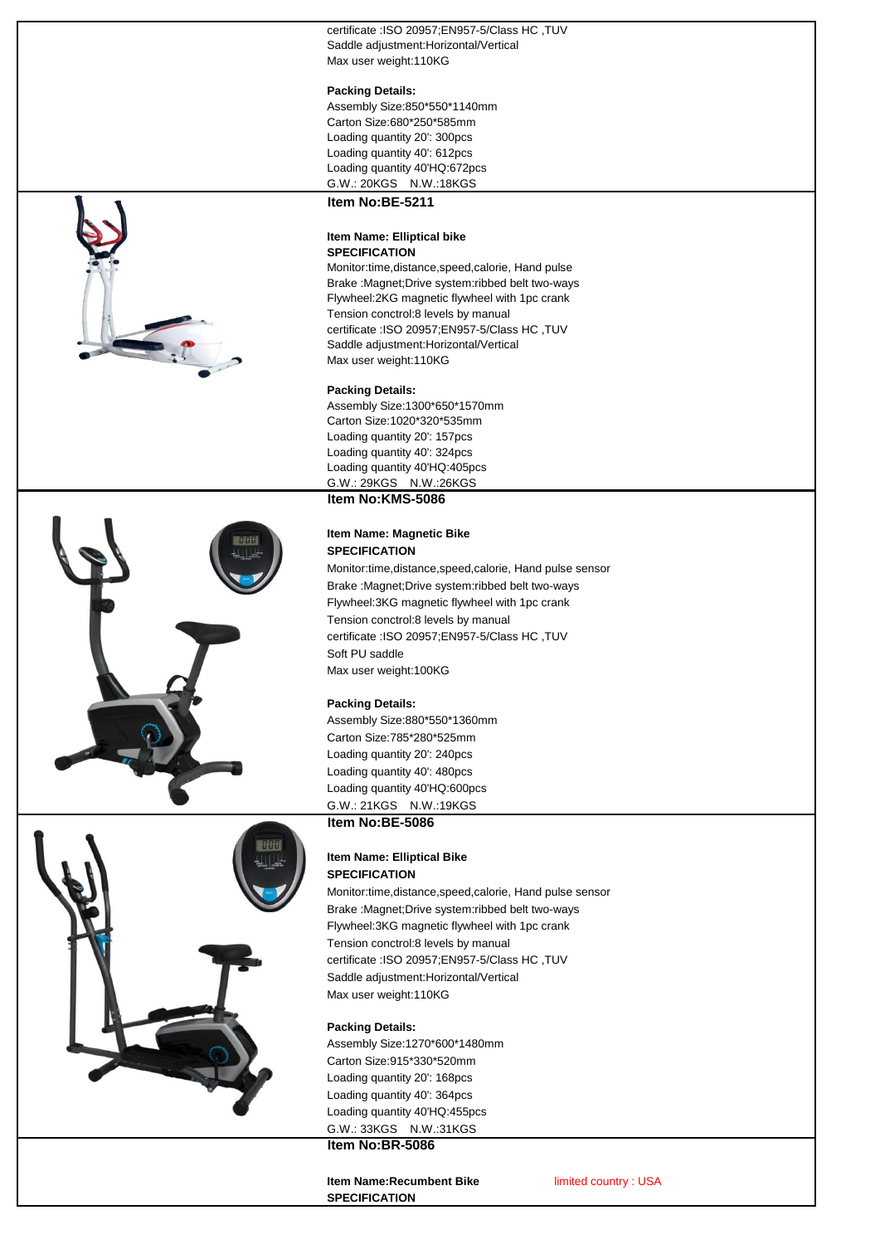certificate :ISO 20957;EN957-5/Class HC .TUV Saddle adjustment:Horizontal/Vertical Max user weight:110KG

#### **Packing Details:**

Assembly Size:850\*550\*1140mm Carton Size:680\*250\*585mm Loading quantity 20': 300pcs Loading quantity 40': 612pcs Loading quantity 40'HQ:672pcs G.W.: 20KGS N.W.:18KGS **Item No:BE-5211**



# **Item Name: Elliptical bike SPECIFICATION**

Monitor:time,distance,speed,calorie, Hand pulse Brake :Magnet;Drive system:ribbed belt two-ways Flywheel:2KG magnetic flywheel with 1pc crank Tension conctrol:8 levels by manual certificate :ISO 20957;EN957-5/Class HC ,TUV Saddle adjustment:Horizontal/Vertical Max user weight:110KG

#### **Packing Details:**

Assembly Size:1300\*650\*1570mm Carton Size:1020\*320\*535mm Loading quantity 20': 157pcs Loading quantity 40': 324pcs Loading quantity 40'HQ:405pcs G.W.: 29KGS N.W.:26KGS **Item No:KMS-5086**

#### **Item Name: Magnetic Bike SPECIFICATION**

Monitor:time,distance,speed,calorie, Hand pulse sensor Brake :Magnet;Drive system:ribbed belt two-ways Flywheel:3KG magnetic flywheel with 1pc crank Tension conctrol:8 levels by manual certificate :ISO 20957;EN957-5/Class HC ,TUV Soft PU saddle Max user weight:100KG

# **Packing Details:**

Assembly Size:880\*550\*1360mm Carton Size:785\*280\*525mm Loading quantity 20': 240pcs Loading quantity 40': 480pcs Loading quantity 40'HQ:600pcs G.W.: 21KGS N.W.:19KGS **Item No:BE-5086**

#### **Item Name: Elliptical Bike SPECIFICATION**

Monitor:time,distance,speed,calorie, Hand pulse sensor Brake :Magnet;Drive system:ribbed belt two-ways Flywheel:3KG magnetic flywheel with 1pc crank Tension conctrol:8 levels by manual certificate :ISO 20957;EN957-5/Class HC ,TUV Saddle adjustment:Horizontal/Vertical Max user weight:110KG

# **Packing Details:**

Assembly Size:1270\*600\*1480mm Carton Size:915\*330\*520mm Loading quantity 20': 168pcs Loading quantity 40': 364pcs Loading quantity 40'HQ:455pcs G.W.: 33KGS N.W.:31KGS **Item No:BR-5086**

# **Item Name:Recumbent Bike** *limited country* : USA **SPECIFICATION**



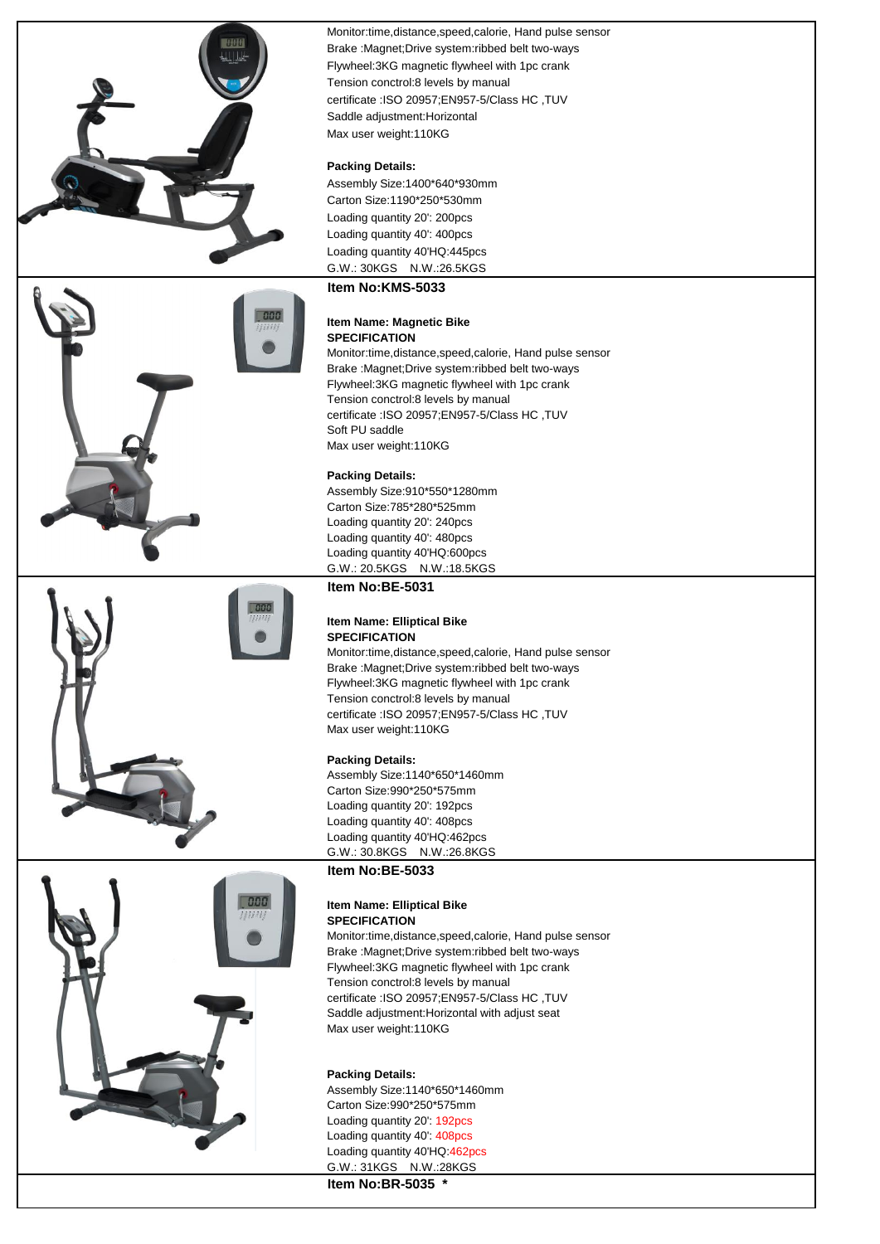







Monitor:time,distance,speed,calorie, Hand pulse sensor Brake :Magnet;Drive system:ribbed belt two-ways Flywheel:3KG magnetic flywheel with 1pc crank Tension conctrol:8 levels by manual certificate :ISO 20957;EN957-5/Class HC ,TUV Saddle adjustment:Horizontal Max user weight:110KG

### **Packing Details:**

Assembly Size:1400\*640\*930mm Carton Size:1190\*250\*530mm Loading quantity 20': 200pcs Loading quantity 40': 400pcs Loading quantity 40'HQ:445pcs G.W.: 30KGS N.W.:26.5KGS

# **Item No:KMS-5033**

#### **Item Name: Magnetic Bike SPECIFICATION**

Monitor:time,distance,speed,calorie, Hand pulse sensor Brake :Magnet;Drive system:ribbed belt two-ways Flywheel:3KG magnetic flywheel with 1pc crank Tension conctrol:8 levels by manual certificate :ISO 20957;EN957-5/Class HC ,TUV Soft PU saddle Max user weight:110KG

#### **Packing Details:**

Assembly Size:910\*550\*1280mm Carton Size:785\*280\*525mm Loading quantity 20': 240pcs Loading quantity 40': 480pcs Loading quantity 40'HQ:600pcs G.W.: 20.5KGS N.W.:18.5KGS

#### **Item No:BE-5031**

#### **Item Name: Elliptical Bike SPECIFICATION**

Monitor:time,distance,speed,calorie, Hand pulse sensor Brake :Magnet;Drive system:ribbed belt two-ways Flywheel:3KG magnetic flywheel with 1pc crank Tension conctrol:8 levels by manual certificate :ISO 20957;EN957-5/Class HC ,TUV Max user weight:110KG

#### **Packing Details:**

Assembly Size:1140\*650\*1460mm Carton Size:990\*250\*575mm Loading quantity 20': 192pcs Loading quantity 40': 408pcs Loading quantity 40'HQ:462pcs G.W.: 30.8KGS N.W.:26.8KGS

# **Item No:BE-5033**

#### **Item Name: Elliptical Bike SPECIFICATION**

Monitor:time,distance,speed,calorie, Hand pulse sensor Brake :Magnet;Drive system:ribbed belt two-ways Flywheel:3KG magnetic flywheel with 1pc crank Tension conctrol:8 levels by manual certificate :ISO 20957;EN957-5/Class HC ,TUV Saddle adjustment:Horizontal with adjust seat Max user weight:110KG

#### **Packing Details:**

Assembly Size:1140\*650\*1460mm Carton Size:990\*250\*575mm Loading quantity 20': 192pcs Loading quantity 40': 408pcs Loading quantity 40'HQ:462pcs G.W.: 31KGS N.W.:28KGS

**Item No:BR-5035 \***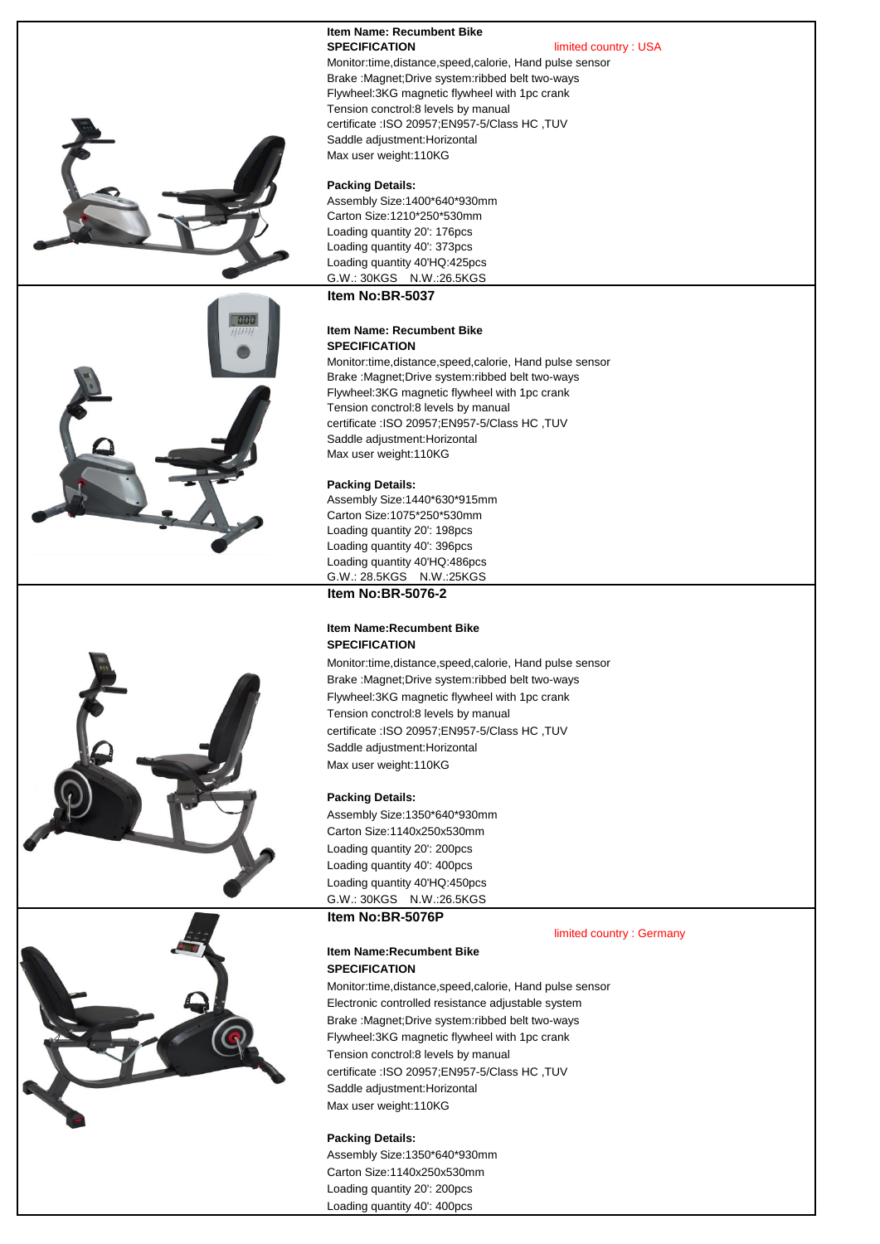# **Item Name: Recumbent Bike**<br>SPECIFICATION

**limited country : USA** 







Monitor:time,distance,speed,calorie, Hand pulse sensor Brake :Magnet;Drive system:ribbed belt two-ways Flywheel:3KG magnetic flywheel with 1pc crank Tension conctrol:8 levels by manual certificate :ISO 20957;EN957-5/Class HC ,TUV Saddle adjustment:Horizontal Max user weight:110KG

#### **Packing Details:**

Assembly Size:1400\*640\*930mm Carton Size:1210\*250\*530mm Loading quantity 20': 176pcs Loading quantity 40': 373pcs Loading quantity 40'HQ:425pcs G.W.: 30KGS N.W.:26.5KGS

#### **Item No:BR-5037**

#### **Item Name: Recumbent Bike SPECIFICATION**

Monitor:time,distance,speed,calorie, Hand pulse sensor Brake :Magnet;Drive system:ribbed belt two-ways Flywheel:3KG magnetic flywheel with 1pc crank Tension conctrol:8 levels by manual certificate :ISO 20957;EN957-5/Class HC ,TUV Saddle adjustment:Horizontal Max user weight:110KG

#### **Packing Details:**

Assembly Size:1440\*630\*915mm Carton Size:1075\*250\*530mm Loading quantity 20': 198pcs Loading quantity 40': 396pcs Loading quantity 40'HQ:486pcs G.W.: 28.5KGS N.W.:25KGS **Item No:BR-5076-2**

#### **Item Name:Recumbent Bike SPECIFICATION**

Monitor:time,distance,speed,calorie, Hand pulse sensor Brake :Magnet;Drive system:ribbed belt two-ways Flywheel:3KG magnetic flywheel with 1pc crank Tension conctrol:8 levels by manual certificate :ISO 20957;EN957-5/Class HC ,TUV Saddle adjustment:Horizontal Max user weight:110KG

#### **Packing Details:**

Assembly Size:1350\*640\*930mm Carton Size:1140x250x530mm Loading quantity 20': 200pcs Loading quantity 40': 400pcs Loading quantity 40'HQ:450pcs G.W.: 30KGS N.W.:26.5KGS

# **Item No:BR-5076P**

limited country : Germany

#### **Item Name:Recumbent Bike SPECIFICATION**

Monitor:time,distance,speed,calorie, Hand pulse sensor Electronic controlled resistance adjustable system Brake :Magnet;Drive system:ribbed belt two-ways Flywheel:3KG magnetic flywheel with 1pc crank Tension conctrol:8 levels by manual certificate :ISO 20957;EN957-5/Class HC ,TUV Saddle adjustment:Horizontal Max user weight:110KG

# **Packing Details:**  Assembly Size:1350\*640\*930mm Carton Size:1140x250x530mm

Loading quantity 20': 200pcs Loading quantity 40': 400pcs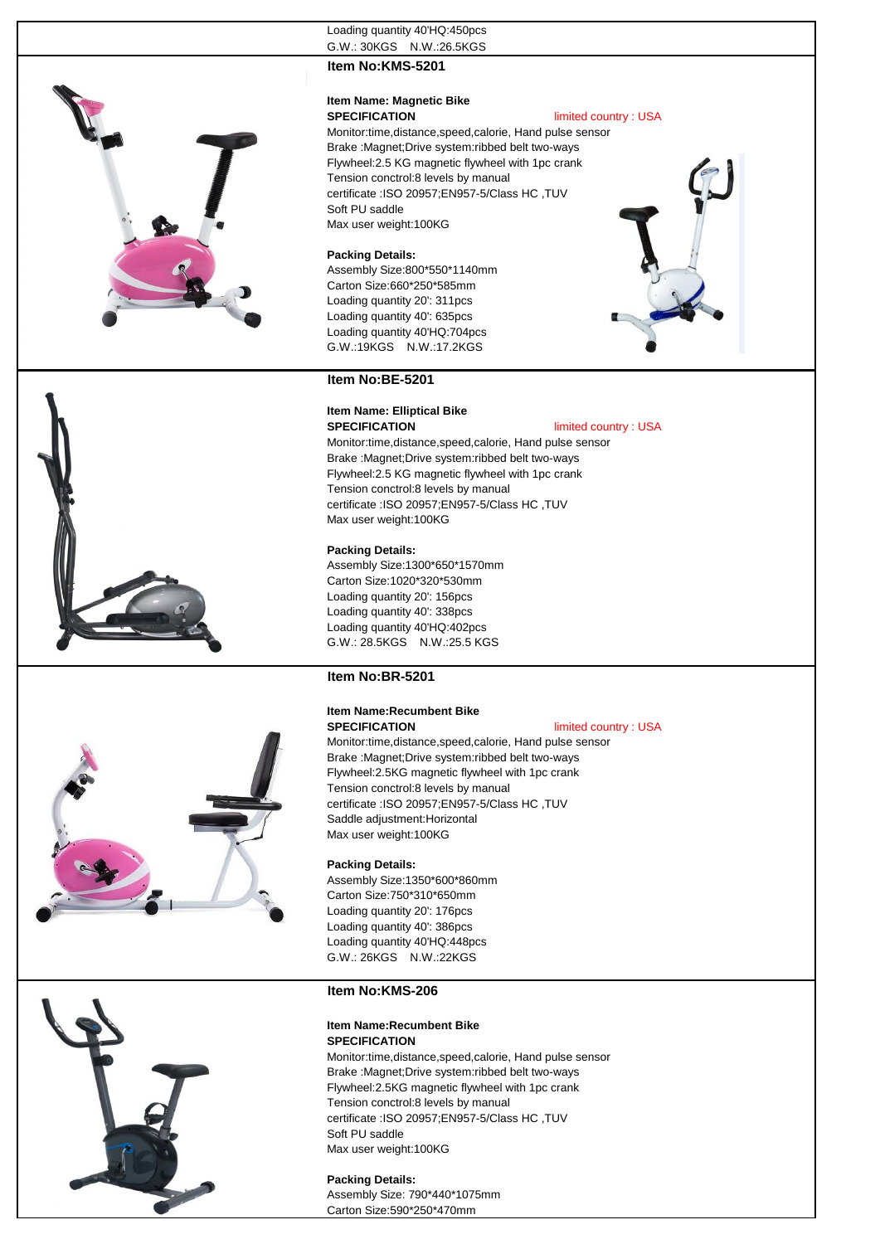

# **Item No:KMS-5201**

# **Item Name: Magnetic Bike**

# **SPECIFICATION** limited country : USA

Monitor:time,distance,speed,calorie, Hand pulse sensor Brake :Magnet;Drive system:ribbed belt two-ways Flywheel:2.5 KG magnetic flywheel with 1pc crank Tension conctrol:8 levels by manual certificate :ISO 20957;EN957-5/Class HC ,TUV Soft PU saddle Max user weight:100KG

#### **Packing Details:**

Assembly Size:800\*550\*1140mm Carton Size:660\*250\*585mm Loading quantity 20': 311pcs Loading quantity 40': 635pcs Loading quantity 40'HQ:704pcs G.W.:19KGS N.W.:17.2KGS





# **SPECIFICATION** limited country : USA

Monitor:time,distance,speed,calorie, Hand pulse sensor Brake :Magnet;Drive system:ribbed belt two-ways Flywheel:2.5 KG magnetic flywheel with 1pc crank Tension conctrol:8 levels by manual certificate :ISO 20957;EN957-5/Class HC ,TUV Max user weight:100KG

#### **Packing Details:**

Assembly Size:1300\*650\*1570mm Carton Size:1020\*320\*530mm Loading quantity 20': 156pcs Loading quantity 40': 338pcs Loading quantity 40'HQ:402pcs G.W.: 28.5KGS N.W.:25.5 KGS

### **Item No:BR-5201**

#### **Item Name:Recumbent Bike SPECIFICATION** limited country : USA

Monitor:time,distance,speed,calorie, Hand pulse sensor Brake :Magnet;Drive system:ribbed belt two-ways Flywheel:2.5KG magnetic flywheel with 1pc crank Tension conctrol:8 levels by manual certificate :ISO 20957;EN957-5/Class HC ,TUV Saddle adjustment:Horizontal



Assembly Size:1350\*600\*860mm Carton Size:750\*310\*650mm Loading quantity 20': 176pcs Loading quantity 40': 386pcs Loading quantity 40'HQ:448pcs G.W.: 26KGS N.W.:22KGS

#### **Item No:KMS-206**

### **Item Name:Recumbent Bike SPECIFICATION**

Monitor:time,distance,speed,calorie, Hand pulse sensor Brake :Magnet;Drive system:ribbed belt two-ways Flywheel:2.5KG magnetic flywheel with 1pc crank Tension conctrol:8 levels by manual certificate :ISO 20957;EN957-5/Class HC ,TUV Soft PU saddle Max user weight:100KG

#### **Packing Details:**  Assembly Size: 790\*440\*1075mm Carton Size:590\*250\*470mm